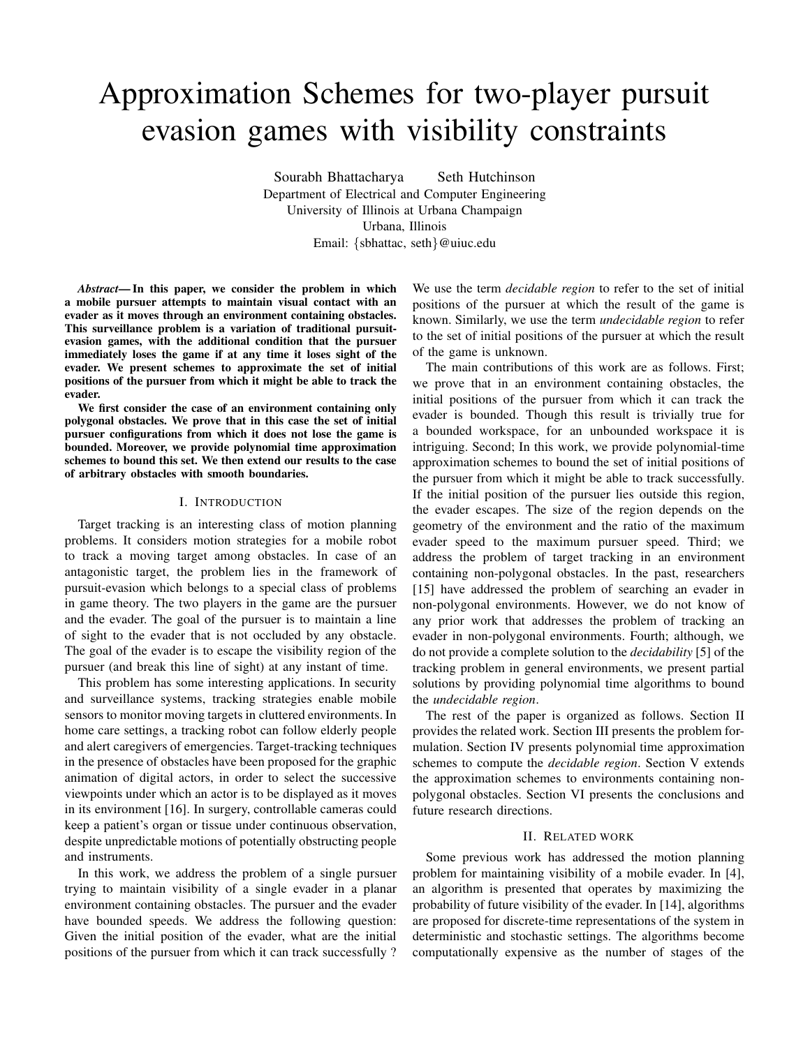# Approximation Schemes for two-player pursuit evasion games with visibility constraints

Sourabh Bhattacharya Seth Hutchinson Department of Electrical and Computer Engineering University of Illinois at Urbana Champaign Urbana, Illinois Email: {sbhattac, seth}@uiuc.edu

*Abstract***— In this paper, we consider the problem in which a mobile pursuer attempts to maintain visual contact with an evader as it moves through an environment containing obstacles. This surveillance problem is a variation of traditional pursuitevasion games, with the additional condition that the pursuer immediately loses the game if at any time it loses sight of the evader. We present schemes to approximate the set of initial positions of the pursuer from which it might be able to track the evader.**

**We first consider the case of an environment containing only polygonal obstacles. We prove that in this case the set of initial pursuer configurations from which it does not lose the game is bounded. Moreover, we provide polynomial time approximation schemes to bound this set. We then extend our results to the case of arbitrary obstacles with smooth boundaries.**

#### I. INTRODUCTION

Target tracking is an interesting class of motion planning problems. It considers motion strategies for a mobile robot to track a moving target among obstacles. In case of an antagonistic target, the problem lies in the framework of pursuit-evasion which belongs to a special class of problems in game theory. The two players in the game are the pursuer and the evader. The goal of the pursuer is to maintain a line of sight to the evader that is not occluded by any obstacle. The goal of the evader is to escape the visibility region of the pursuer (and break this line of sight) at any instant of time.

This problem has some interesting applications. In security and surveillance systems, tracking strategies enable mobile sensors to monitor moving targets in cluttered environments. In home care settings, a tracking robot can follow elderly people and alert caregivers of emergencies. Target-tracking techniques in the presence of obstacles have been proposed for the graphic animation of digital actors, in order to select the successive viewpoints under which an actor is to be displayed as it moves in its environment [16]. In surgery, controllable cameras could keep a patient's organ or tissue under continuous observation, despite unpredictable motions of potentially obstructing people and instruments.

In this work, we address the problem of a single pursuer trying to maintain visibility of a single evader in a planar environment containing obstacles. The pursuer and the evader have bounded speeds. We address the following question: Given the initial position of the evader, what are the initial positions of the pursuer from which it can track successfully ? We use the term *decidable region* to refer to the set of initial positions of the pursuer at which the result of the game is known. Similarly, we use the term *undecidable region* to refer to the set of initial positions of the pursuer at which the result of the game is unknown.

The main contributions of this work are as follows. First; we prove that in an environment containing obstacles, the initial positions of the pursuer from which it can track the evader is bounded. Though this result is trivially true for a bounded workspace, for an unbounded workspace it is intriguing. Second; In this work, we provide polynomial-time approximation schemes to bound the set of initial positions of the pursuer from which it might be able to track successfully. If the initial position of the pursuer lies outside this region, the evader escapes. The size of the region depends on the geometry of the environment and the ratio of the maximum evader speed to the maximum pursuer speed. Third; we address the problem of target tracking in an environment containing non-polygonal obstacles. In the past, researchers [15] have addressed the problem of searching an evader in non-polygonal environments. However, we do not know of any prior work that addresses the problem of tracking an evader in non-polygonal environments. Fourth; although, we do not provide a complete solution to the *decidability* [5] of the tracking problem in general environments, we present partial solutions by providing polynomial time algorithms to bound the *undecidable region*.

The rest of the paper is organized as follows. Section II provides the related work. Section III presents the problem formulation. Section IV presents polynomial time approximation schemes to compute the *decidable region*. Section V extends the approximation schemes to environments containing nonpolygonal obstacles. Section VI presents the conclusions and future research directions.

#### II. RELATED WORK

Some previous work has addressed the motion planning problem for maintaining visibility of a mobile evader. In [4], an algorithm is presented that operates by maximizing the probability of future visibility of the evader. In [14], algorithms are proposed for discrete-time representations of the system in deterministic and stochastic settings. The algorithms become computationally expensive as the number of stages of the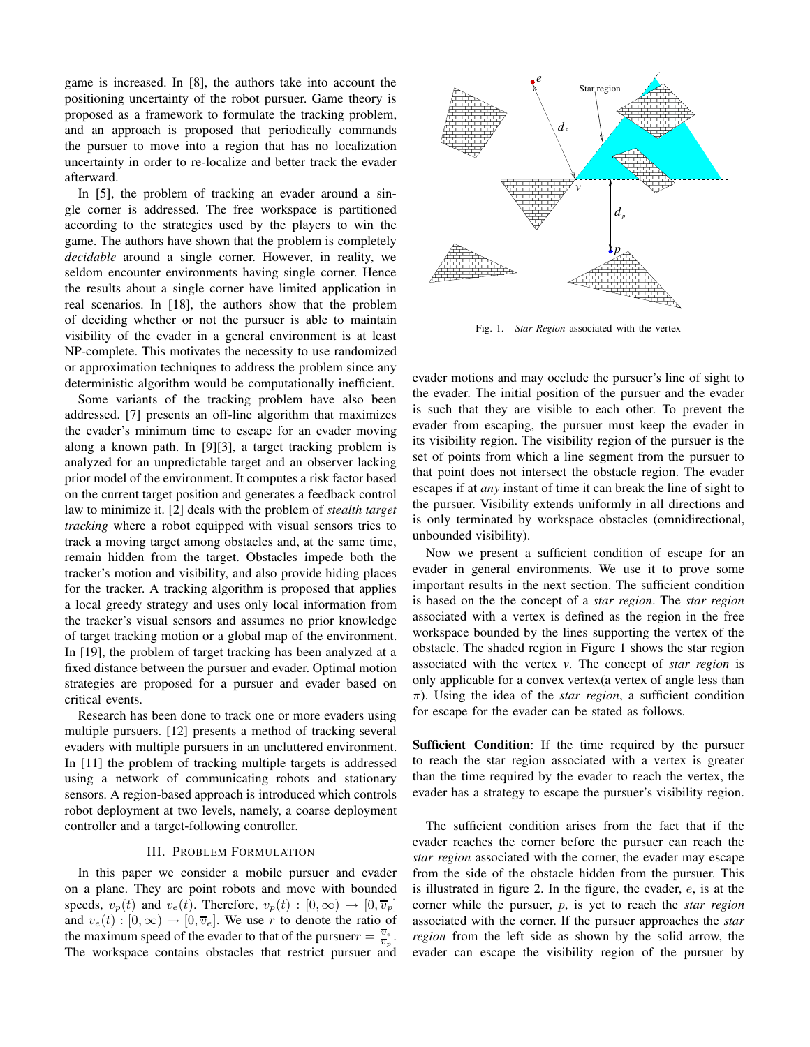game is increased. In [8], the authors take into account the positioning uncertainty of the robot pursuer. Game theory is proposed as a framework to formulate the tracking problem, and an approach is proposed that periodically commands the pursuer to move into a region that has no localization uncertainty in order to re-localize and better track the evader afterward.

In [5], the problem of tracking an evader around a single corner is addressed. The free workspace is partitioned according to the strategies used by the players to win the game. The authors have shown that the problem is completely *decidable* around a single corner. However, in reality, we seldom encounter environments having single corner. Hence the results about a single corner have limited application in real scenarios. In [18], the authors show that the problem of deciding whether or not the pursuer is able to maintain visibility of the evader in a general environment is at least NP-complete. This motivates the necessity to use randomized or approximation techniques to address the problem since any deterministic algorithm would be computationally inefficient.

Some variants of the tracking problem have also been addressed. [7] presents an off-line algorithm that maximizes the evader's minimum time to escape for an evader moving along a known path. In [9][3], a target tracking problem is analyzed for an unpredictable target and an observer lacking prior model of the environment. It computes a risk factor based on the current target position and generates a feedback control law to minimize it. [2] deals with the problem of *stealth target tracking* where a robot equipped with visual sensors tries to track a moving target among obstacles and, at the same time, remain hidden from the target. Obstacles impede both the tracker's motion and visibility, and also provide hiding places for the tracker. A tracking algorithm is proposed that applies a local greedy strategy and uses only local information from the tracker's visual sensors and assumes no prior knowledge of target tracking motion or a global map of the environment. In [19], the problem of target tracking has been analyzed at a fixed distance between the pursuer and evader. Optimal motion strategies are proposed for a pursuer and evader based on critical events.

Research has been done to track one or more evaders using multiple pursuers. [12] presents a method of tracking several evaders with multiple pursuers in an uncluttered environment. In [11] the problem of tracking multiple targets is addressed using a network of communicating robots and stationary sensors. A region-based approach is introduced which controls robot deployment at two levels, namely, a coarse deployment controller and a target-following controller.

## III. PROBLEM FORMULATION

In this paper we consider a mobile pursuer and evader on a plane. They are point robots and move with bounded speeds,  $v_p(t)$  and  $v_e(t)$ . Therefore,  $v_p(t) : [0, \infty) \rightarrow [0, \overline{v}_p]$ and  $v_e(t): [0, \infty) \to [0, \overline{v}_e]$ . We use r to denote the ratio of the maximum speed of the evader to that of the pursuer $r = \frac{\overline{v}_e}{\overline{v}_p}$ . The workspace contains obstacles that restrict pursuer and



Fig. 1. *Star Region* associated with the vertex

evader motions and may occlude the pursuer's line of sight to the evader. The initial position of the pursuer and the evader is such that they are visible to each other. To prevent the evader from escaping, the pursuer must keep the evader in its visibility region. The visibility region of the pursuer is the set of points from which a line segment from the pursuer to that point does not intersect the obstacle region. The evader escapes if at *any* instant of time it can break the line of sight to the pursuer. Visibility extends uniformly in all directions and is only terminated by workspace obstacles (omnidirectional, unbounded visibility).

Now we present a sufficient condition of escape for an evader in general environments. We use it to prove some important results in the next section. The sufficient condition is based on the the concept of a *star region*. The *star region* associated with a vertex is defined as the region in the free workspace bounded by the lines supporting the vertex of the obstacle. The shaded region in Figure 1 shows the star region associated with the vertex *v*. The concept of *star region* is only applicable for a convex vertex(a vertex of angle less than π). Using the idea of the *star region*, a sufficient condition for escape for the evader can be stated as follows.

**Sufficient Condition**: If the time required by the pursuer to reach the star region associated with a vertex is greater than the time required by the evader to reach the vertex, the evader has a strategy to escape the pursuer's visibility region.

The sufficient condition arises from the fact that if the evader reaches the corner before the pursuer can reach the *star region* associated with the corner, the evader may escape from the side of the obstacle hidden from the pursuer. This is illustrated in figure 2. In the figure, the evader, e, is at the corner while the pursuer, p, is yet to reach the *star region* associated with the corner. If the pursuer approaches the *star region* from the left side as shown by the solid arrow, the evader can escape the visibility region of the pursuer by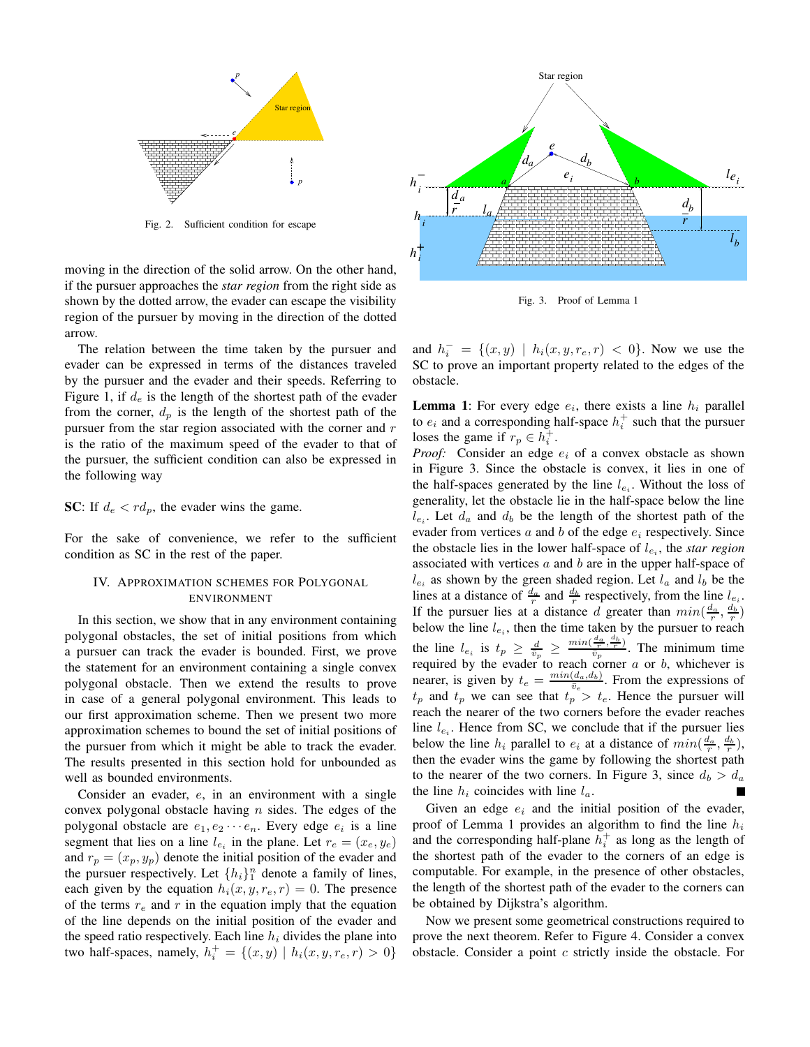

Fig. 2. Sufficient condition for escape

moving in the direction of the solid arrow. On the other hand, if the pursuer approaches the *star region* from the right side as shown by the dotted arrow, the evader can escape the visibility region of the pursuer by moving in the direction of the dotted arrow.

The relation between the time taken by the pursuer and evader can be expressed in terms of the distances traveled by the pursuer and the evader and their speeds. Referring to Figure 1, if  $d_e$  is the length of the shortest path of the evader from the corner,  $d_p$  is the length of the shortest path of the pursuer from the star region associated with the corner and  $r$ is the ratio of the maximum speed of the evader to that of the pursuer, the sufficient condition can also be expressed in the following way

**SC**: If  $d_e < rd_p$ , the evader wins the game.

For the sake of convenience, we refer to the sufficient condition as SC in the rest of the paper.

# IV. APPROXIMATION SCHEMES FOR POLYGONAL ENVIRONMENT

In this section, we show that in any environment containing polygonal obstacles, the set of initial positions from which a pursuer can track the evader is bounded. First, we prove the statement for an environment containing a single convex polygonal obstacle. Then we extend the results to prove in case of a general polygonal environment. This leads to our first approximation scheme. Then we present two more approximation schemes to bound the set of initial positions of the pursuer from which it might be able to track the evader. The results presented in this section hold for unbounded as well as bounded environments.

Consider an evader, e, in an environment with a single convex polygonal obstacle having  $n$  sides. The edges of the polygonal obstacle are  $e_1, e_2 \cdots e_n$ . Every edge  $e_i$  is a line segment that lies on a line  $l_{e_i}$  in the plane. Let  $r_e = (x_e, y_e)$ and  $r_p = (x_p, y_p)$  denote the initial position of the evader and the pursuer respectively. Let  $\{h_i\}_1^n$  denote a family of lines, each given by the equation  $h_i(x, y, r_e, r) = 0$ . The presence of the terms  $r_e$  and r in the equation imply that the equation of the line depends on the initial position of the evader and the speed ratio respectively. Each line  $h_i$  divides the plane into two half-spaces, namely,  $h_i^+ = \{(x, y) \mid h_i(x, y, r_e, r) > 0\}$ 



Fig. 3. Proof of Lemma 1

and  $h_i^- = \{(x, y) \mid h_i(x, y, r_e, r) < 0\}$ . Now we use the SC to prove an important property related to the edges of the obstacle.

**Lemma** 1: For every edge  $e_i$ , there exists a line  $h_i$  parallel to  $e_i$  and a corresponding half-space  $h_i^+$  such that the pursuer loses the game if  $r_p \in h_i^+$ .

*Proof:* Consider an edge  $e_i$  of a convex obstacle as shown in Figure 3. Since the obstacle is convex, it lies in one of the half-spaces generated by the line  $l_{e_i}$ . Without the loss of generality, let the obstacle lie in the half-space below the line  $l_{e_i}$ . Let  $d_a$  and  $d_b$  be the length of the shortest path of the evader from vertices  $a$  and  $b$  of the edge  $e_i$  respectively. Since the obstacle lies in the lower half-space of  $l_{e_i}$ , the *star region* associated with vertices  $a$  and  $b$  are in the upper half-space of  $l_{e_i}$  as shown by the green shaded region. Let  $l_a$  and  $l_b$  be the lines at a distance of  $\frac{d_a}{r}$  and  $\frac{d_b}{r}$  respectively, from the line  $l_{e_i}$ . If the pursuer lies at a distance d greater than  $min(\frac{d_a}{r}, \frac{d_b}{r})$ below the line  $l_{e_i}$ , then the time taken by the pursuer to reach the line  $l_{e_i}$  is  $t_p \geq \frac{d}{\bar{v}_p} \geq \frac{\min(\frac{d_a}{r}, \frac{d_b}{r})}{\bar{v}_p}$  $\frac{\overline{r} \cdot \overline{r}}{\overline{v}_p}$ . The minimum time required by the evader to reach corner  $a$  or  $b$ , whichever is nearer, is given by  $t_e = \frac{min(d_a, d_b)}{\bar{v}_a}$  $\frac{(a_a, a_b)}{\bar{v}_e}$ . From the expressions of the text is given by  $t_e = \frac{\overline{v}_e}{\overline{v}_e}$ . From the expressions of  $t_p$  and  $t_p$  we can see that  $t_p > t_e$ . Hence the pursuer will reach the nearer of the two corners before the evader reaches line  $l_{e_i}$ . Hence from SC, we conclude that if the pursuer lies below the line  $h_i$  parallel to  $e_i$  at a distance of  $min(\frac{d_a}{r}, \frac{d_b}{r}),$ then the evader wins the game by following the shortest path to the nearer of the two corners. In Figure 3, since  $d_b > d_a$ the line  $h_i$  coincides with line  $l_a$ .

Given an edge  $e_i$  and the initial position of the evader, proof of Lemma 1 provides an algorithm to find the line  $h_i$ and the corresponding half-plane  $h_i^+$  as long as the length of the shortest path of the evader to the corners of an edge is computable. For example, in the presence of other obstacles, the length of the shortest path of the evader to the corners can be obtained by Dijkstra's algorithm.

Now we present some geometrical constructions required to prove the next theorem. Refer to Figure 4. Consider a convex obstacle. Consider a point  $c$  strictly inside the obstacle. For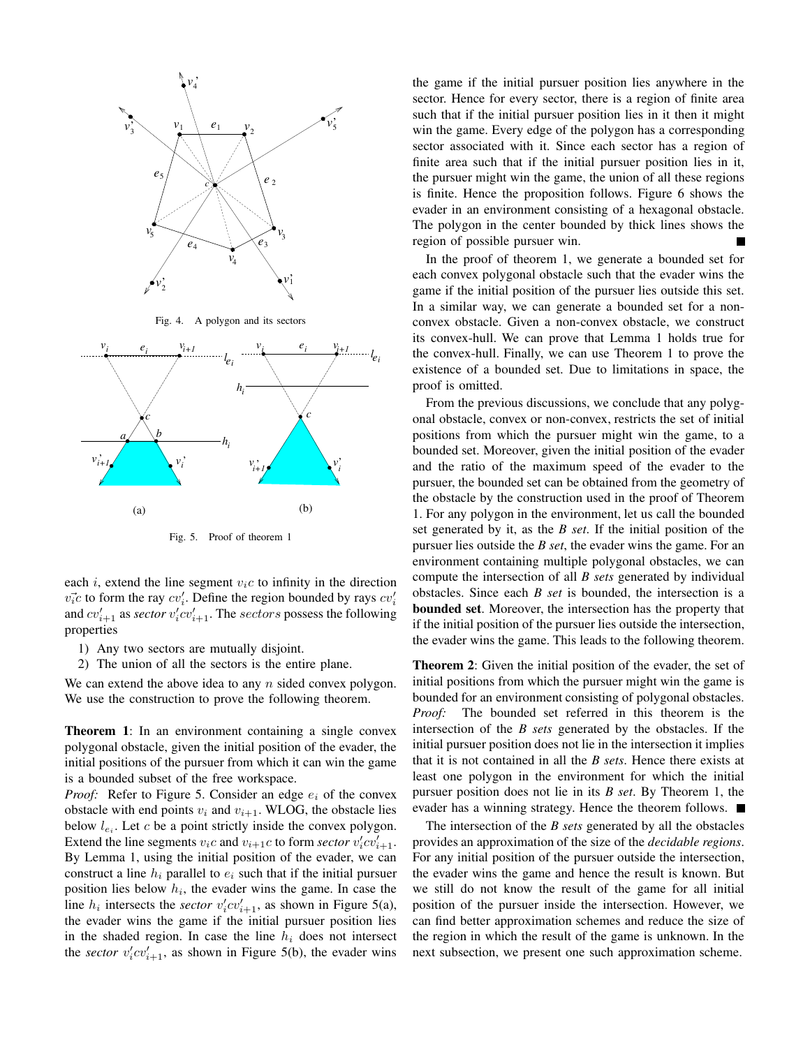

Fig. 4. A polygon and its sectors



each i, extend the line segment  $v_i c$  to infinity in the direction  $v_i^2c$  to form the ray  $cv_i'$ . Define the region bounded by rays  $cv_i'$ and  $cv'_{i+1}$  as *sector*  $v'_i cv'_{i+1}$ . The *sectors* possess the following properties

- 1) Any two sectors are mutually disjoint.
- 2) The union of all the sectors is the entire plane.

We can extend the above idea to any  $n$  sided convex polygon. We use the construction to prove the following theorem.

**Theorem 1**: In an environment containing a single convex polygonal obstacle, given the initial position of the evader, the initial positions of the pursuer from which it can win the game is a bounded subset of the free workspace.

*Proof:* Refer to Figure 5. Consider an edge  $e_i$  of the convex obstacle with end points  $v_i$  and  $v_{i+1}$ . WLOG, the obstacle lies below  $l_{e_i}$ . Let c be a point strictly inside the convex polygon. Extend the line segments  $v_i c$  and  $v_{i+1} c$  to form *sector*  $v'_i cv'_{i+1}$ . By Lemma 1, using the initial position of the evader, we can construct a line  $h_i$  parallel to  $e_i$  such that if the initial pursuer position lies below  $h_i$ , the evader wins the game. In case the line  $h_i$  intersects the *sector*  $v'_i cv'_{i+1}$ , as shown in Figure 5(a), the evader wins the game if the initial pursuer position lies in the shaded region. In case the line  $h_i$  does not intersect the *sector*  $v'_i cv'_{i+1}$ , as shown in Figure 5(b), the evader wins

the game if the initial pursuer position lies anywhere in the sector. Hence for every sector, there is a region of finite area such that if the initial pursuer position lies in it then it might win the game. Every edge of the polygon has a corresponding sector associated with it. Since each sector has a region of finite area such that if the initial pursuer position lies in it, the pursuer might win the game, the union of all these regions is finite. Hence the proposition follows. Figure 6 shows the evader in an environment consisting of a hexagonal obstacle. The polygon in the center bounded by thick lines shows the region of possible pursuer win.

In the proof of theorem 1, we generate a bounded set for each convex polygonal obstacle such that the evader wins the game if the initial position of the pursuer lies outside this set. In a similar way, we can generate a bounded set for a nonconvex obstacle. Given a non-convex obstacle, we construct its convex-hull. We can prove that Lemma 1 holds true for the convex-hull. Finally, we can use Theorem 1 to prove the existence of a bounded set. Due to limitations in space, the proof is omitted.

From the previous discussions, we conclude that any polygonal obstacle, convex or non-convex, restricts the set of initial positions from which the pursuer might win the game, to a bounded set. Moreover, given the initial position of the evader and the ratio of the maximum speed of the evader to the pursuer, the bounded set can be obtained from the geometry of the obstacle by the construction used in the proof of Theorem 1. For any polygon in the environment, let us call the bounded set generated by it, as the *B set*. If the initial position of the pursuer lies outside the *B set*, the evader wins the game. For an environment containing multiple polygonal obstacles, we can compute the intersection of all *B sets* generated by individual obstacles. Since each *B set* is bounded, the intersection is a **bounded set**. Moreover, the intersection has the property that if the initial position of the pursuer lies outside the intersection, the evader wins the game. This leads to the following theorem.

**Theorem 2**: Given the initial position of the evader, the set of initial positions from which the pursuer might win the game is bounded for an environment consisting of polygonal obstacles. *Proof:* The bounded set referred in this theorem is the intersection of the *B sets* generated by the obstacles. If the initial pursuer position does not lie in the intersection it implies that it is not contained in all the *B sets*. Hence there exists at least one polygon in the environment for which the initial pursuer position does not lie in its *B set*. By Theorem 1, the evader has a winning strategy. Hence the theorem follows.

The intersection of the *B sets* generated by all the obstacles provides an approximation of the size of the *decidable regions*. For any initial position of the pursuer outside the intersection, the evader wins the game and hence the result is known. But we still do not know the result of the game for all initial position of the pursuer inside the intersection. However, we can find better approximation schemes and reduce the size of the region in which the result of the game is unknown. In the next subsection, we present one such approximation scheme.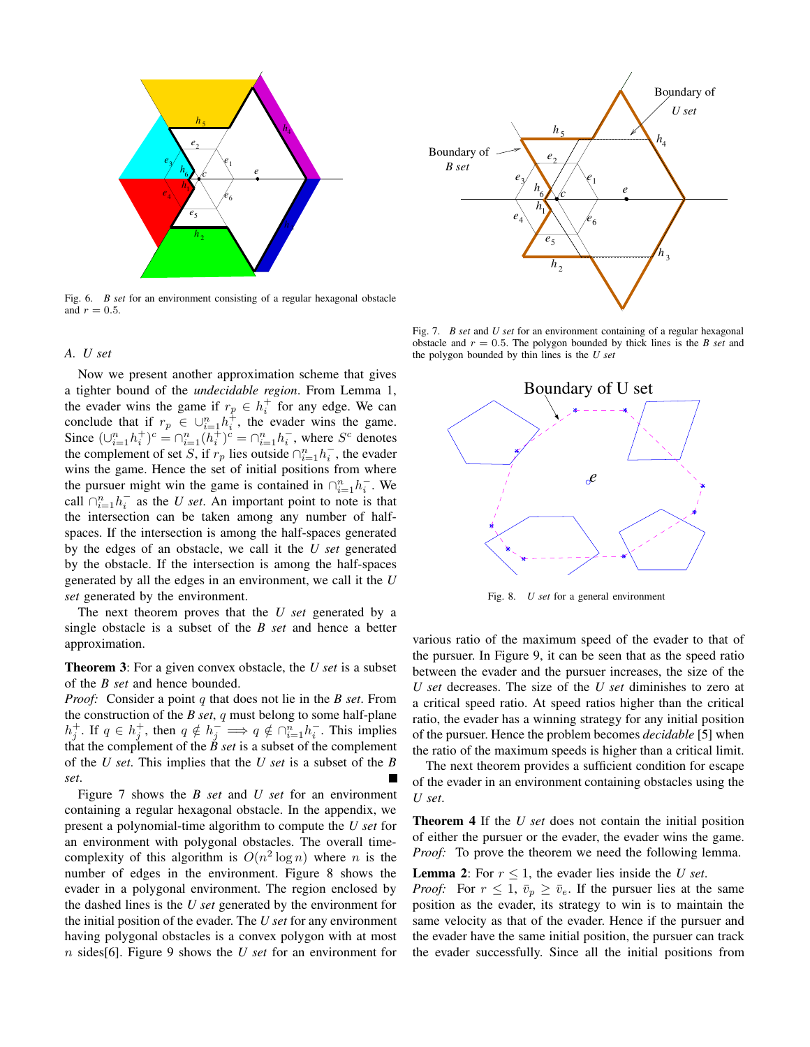

Fig. 6. *B set* for an environment consisting of a regular hexagonal obstacle and  $r = 0.5$ .

### *A. U set*

Now we present another approximation scheme that gives a tighter bound of the *undecidable region*. From Lemma 1, the evader wins the game if  $r_p \in h_i^+$  for any edge. We can conclude that if  $r_p \in \bigcup_{i=1}^n h_i^+$ , the evader wins the game. Since  $(\bigcup_{i=1}^n h_i^+)^\mathsf{c} = \bigcap_{i=1}^n (\overline{h}_i^+)^\mathsf{c} = \bigcap_{i=1}^n h_i^-,$  where  $S^c$  denotes the complement of set  $\overline{S}$ , if  $\overline{r_p}$  lies outside  $\bigcap_{i=1}^n h_i^-$ , the evader wins the game. Hence the set of initial positions from where the pursuer might win the game is contained in  $\bigcap_{i=1}^n h_i^-$ . We call  $\bigcap_{i=1}^n h_i^-$  as the *U* set. An important point to note is that the intersection can be taken among any number of halfspaces. If the intersection is among the half-spaces generated by the edges of an obstacle, we call it the *U set* generated by the obstacle. If the intersection is among the half-spaces generated by all the edges in an environment, we call it the *U set* generated by the environment.

The next theorem proves that the *U set* generated by a single obstacle is a subset of the *B set* and hence a better approximation.

**Theorem 3**: For a given convex obstacle, the *U set* is a subset of the *B set* and hence bounded.

*Proof:* Consider a point q that does not lie in the *B set*. From the construction of the *B set*, q must belong to some half-plane  $h_j^+$ . If  $q \in h_j^+$ , then  $q \notin h_j^- \implies q \notin \cap_{i=1}^n h_i^-$ . This implies that the complement of the *B set* is a subset of the complement of the *U set*. This implies that the *U set* is a subset of the *B set*.

Figure 7 shows the *B set* and *U set* for an environment containing a regular hexagonal obstacle. In the appendix, we present a polynomial-time algorithm to compute the *U set* for an environment with polygonal obstacles. The overall timecomplexity of this algorithm is  $O(n^2 \log n)$  where *n* is the number of edges in the environment. Figure 8 shows the evader in a polygonal environment. The region enclosed by the dashed lines is the *U set* generated by the environment for the initial position of the evader. The *U set* for any environment having polygonal obstacles is a convex polygon with at most n sides[6]. Figure 9 shows the *U set* for an environment for



Fig. 7. *B set* and *U set* for an environment containing of a regular hexagonal obstacle and  $r = 0.5$ . The polygon bounded by thick lines is the *B set* and the polygon bounded by thin lines is the *U set*



Fig. 8. *U set* for a general environment

various ratio of the maximum speed of the evader to that of the pursuer. In Figure 9, it can be seen that as the speed ratio between the evader and the pursuer increases, the size of the *U set* decreases. The size of the *U set* diminishes to zero at a critical speed ratio. At speed ratios higher than the critical ratio, the evader has a winning strategy for any initial position of the pursuer. Hence the problem becomes *decidable* [5] when the ratio of the maximum speeds is higher than a critical limit.

The next theorem provides a sufficient condition for escape of the evader in an environment containing obstacles using the *U set*.

**Theorem 4** If the *U set* does not contain the initial position of either the pursuer or the evader, the evader wins the game. *Proof:* To prove the theorem we need the following lemma.

**Lemma** 2: For  $r \leq 1$ , the evader lies inside the *U set*.

*Proof:* For  $r \leq 1$ ,  $\bar{v}_p \geq \bar{v}_e$ . If the pursuer lies at the same position as the evader, its strategy to win is to maintain the same velocity as that of the evader. Hence if the pursuer and the evader have the same initial position, the pursuer can track the evader successfully. Since all the initial positions from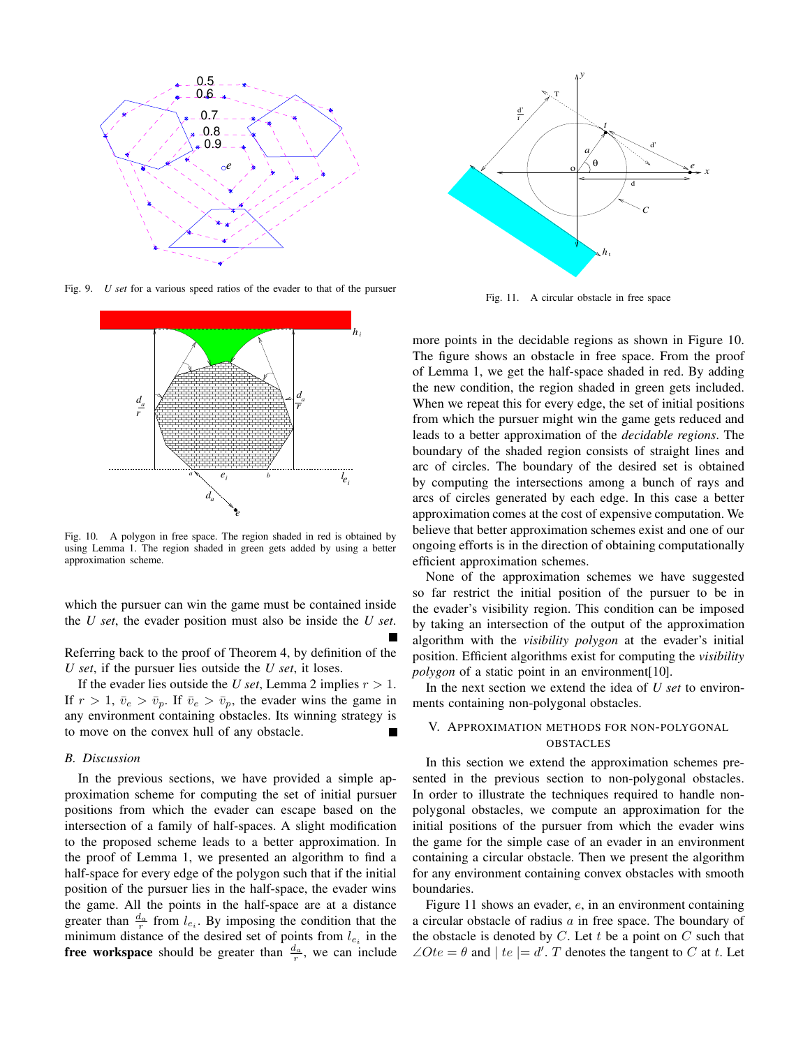

Fig. 9. *U set* for a various speed ratios of the evader to that of the pursuer



Fig. 10. A polygon in free space. The region shaded in red is obtained by using Lemma 1. The region shaded in green gets added by using a better approximation scheme.

which the pursuer can win the game must be contained inside the *U set*, the evader position must also be inside the *U set*.

Referring back to the proof of Theorem 4, by definition of the *U set*, if the pursuer lies outside the *U set*, it loses.

If the evader lies outside the *U set*, Lemma 2 implies  $r > 1$ . If  $r > 1$ ,  $\bar{v}_e > \bar{v}_p$ . If  $\bar{v}_e > \bar{v}_p$ , the evader wins the game in any environment containing obstacles. Its winning strategy is to move on the convex hull of any obstacle.

#### *B. Discussion*

In the previous sections, we have provided a simple approximation scheme for computing the set of initial pursuer positions from which the evader can escape based on the intersection of a family of half-spaces. A slight modification to the proposed scheme leads to a better approximation. In the proof of Lemma 1, we presented an algorithm to find a half-space for every edge of the polygon such that if the initial position of the pursuer lies in the half-space, the evader wins the game. All the points in the half-space are at a distance greater than  $\frac{d_a}{r}$  from  $l_{e_i}$ . By imposing the condition that the minimum distance of the desired set of points from  $l_{e_i}$  in the **free workspace** should be greater than  $\frac{d_a}{r}$ , we can include



Fig. 11. A circular obstacle in free space

more points in the decidable regions as shown in Figure 10. The figure shows an obstacle in free space. From the proof of Lemma 1, we get the half-space shaded in red. By adding the new condition, the region shaded in green gets included. When we repeat this for every edge, the set of initial positions from which the pursuer might win the game gets reduced and leads to a better approximation of the *decidable regions*. The boundary of the shaded region consists of straight lines and arc of circles. The boundary of the desired set is obtained by computing the intersections among a bunch of rays and arcs of circles generated by each edge. In this case a better approximation comes at the cost of expensive computation. We believe that better approximation schemes exist and one of our ongoing efforts is in the direction of obtaining computationally efficient approximation schemes.

None of the approximation schemes we have suggested so far restrict the initial position of the pursuer to be in the evader's visibility region. This condition can be imposed by taking an intersection of the output of the approximation algorithm with the *visibility polygon* at the evader's initial position. Efficient algorithms exist for computing the *visibility polygon* of a static point in an environment [10].

In the next section we extend the idea of *U set* to environments containing non-polygonal obstacles.

# V. APPROXIMATION METHODS FOR NON-POLYGONAL OBSTACLES

In this section we extend the approximation schemes presented in the previous section to non-polygonal obstacles. In order to illustrate the techniques required to handle nonpolygonal obstacles, we compute an approximation for the initial positions of the pursuer from which the evader wins the game for the simple case of an evader in an environment containing a circular obstacle. Then we present the algorithm for any environment containing convex obstacles with smooth boundaries.

Figure 11 shows an evader, e, in an environment containing a circular obstacle of radius a in free space. The boundary of the obstacle is denoted by  $C$ . Let  $t$  be a point on  $C$  such that  $\angle Ote = \theta$  and  $|te| = d'.T$  denotes the tangent to C at t. Let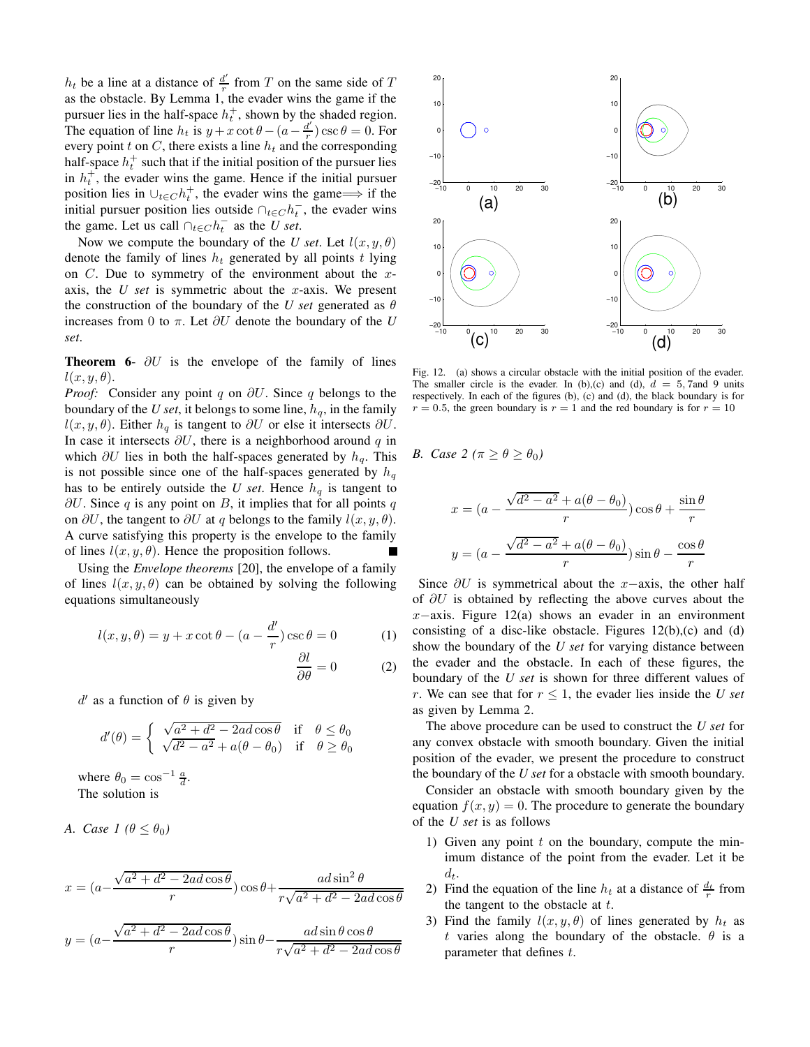$h_t$  be a line at a distance of  $\frac{d'}{dt}$  $\frac{x}{r}$  from T on the same side of T as the obstacle. By Lemma 1, the evader wins the game if the pursuer lies in the half-space  $h_t^+$ , shown by the shaded region. The equation of line  $h_t$  is  $y + x \cot \theta - (a - \frac{d'}{r}) \csc \theta = 0$ . For every point t on  $C$ , there exists a line  $h_t$  and the corresponding half-space  $h_t^+$  such that if the initial position of the pursuer lies in  $h_t^+$ , the evader wins the game. Hence if the initial pursuer position lies in  $\cup_{t \in C} h_t^+$ , the evader wins the game  $\Longrightarrow$  if the initial pursuer position lies outside  $\bigcap_{t \in C} h_t^-$ , the evader wins the game. Let us call  $\bigcap_{t \in C} h_t^-$  as the *U* set.

Now we compute the boundary of the *U set*. Let  $l(x, y, \theta)$ denote the family of lines  $h_t$  generated by all points t lying on  $C$ . Due to symmetry of the environment about the  $x$ axis, the  $U$  *set* is symmetric about the  $x$ -axis. We present the construction of the boundary of the *U set* generated as  $\theta$ increases from 0 to  $\pi$ . Let  $\partial U$  denote the boundary of the *U set*.

**Theorem 6-**  $\partial U$  is the envelope of the family of lines  $l(x, y, \theta)$ .

*Proof:* Consider any point q on ∂U. Since q belongs to the boundary of the *U set*, it belongs to some line,  $h_q$ , in the family  $l(x, y, \theta)$ . Either  $h_q$  is tangent to  $\partial U$  or else it intersects  $\partial U$ . In case it intersects  $\partial U$ , there is a neighborhood around q in which  $\partial U$  lies in both the half-spaces generated by  $h_q$ . This is not possible since one of the half-spaces generated by  $h_q$ has to be entirely outside the *U set*. Hence  $h_q$  is tangent to  $\partial U$ . Since q is any point on B, it implies that for all points q on  $\partial U$ , the tangent to  $\partial U$  at q belongs to the family  $l(x, y, \theta)$ . A curve satisfying this property is the envelope to the family of lines  $l(x, y, \theta)$ . Hence the proposition follows.

Using the *Envelope theorems* [20], the envelope of a family of lines  $l(x, y, \theta)$  can be obtained by solving the following equations simultaneously

$$
l(x, y, \theta) = y + x \cot \theta - (a - \frac{d'}{r}) \csc \theta = 0 \tag{1}
$$

$$
\frac{\partial l}{\partial \theta} = 0 \tag{2}
$$

$$
d'
$$
 as a function of  $\theta$  is given by

$$
d'(\theta) = \begin{cases} \sqrt{a^2 + d^2 - 2ad\cos\theta} & \text{if } \theta \le \theta_0 \\ \sqrt{d^2 - a^2} + a(\theta - \theta_0) & \text{if } \theta \ge \theta_0 \end{cases}
$$

where  $\theta_0 = \cos^{-1} \frac{a}{d}$ . The solution is

*A. Case 1*  $(\theta \leq \theta_0)$ 

$$
x = (a - \frac{\sqrt{a^2 + d^2 - 2ad\cos\theta}}{r})\cos\theta + \frac{ad\sin^2\theta}{r\sqrt{a^2 + d^2 - 2ad\cos\theta}}
$$

$$
y = (a - \frac{\sqrt{a^2 + d^2 - 2ad\cos\theta}}{r})\sin\theta - \frac{ad\sin\theta\cos\theta}{r\sqrt{a^2 + d^2 - 2ad\cos\theta}}
$$



Fig. 12. (a) shows a circular obstacle with the initial position of the evader. The smaller circle is the evader. In (b),(c) and (d),  $d = 5$ , 7and 9 units respectively. In each of the figures (b), (c) and (d), the black boundary is for  $r = 0.5$ , the green boundary is  $r = 1$  and the red boundary is for  $r = 10$ 

*B. Case* 2 ( $\pi > \theta > \theta_0$ )

$$
x = (a - \frac{\sqrt{d^2 - a^2} + a(\theta - \theta_0)}{r})\cos\theta + \frac{\sin\theta}{r}
$$

$$
y = (a - \frac{\sqrt{d^2 - a^2} + a(\theta - \theta_0)}{r})\sin\theta - \frac{\cos\theta}{r}
$$

Since  $\partial U$  is symmetrical about the x−axis, the other half of ∂U is obtained by reflecting the above curves about the  $x$ −axis. Figure 12(a) shows an evader in an environment consisting of a disc-like obstacle. Figures 12(b),(c) and (d) show the boundary of the *U set* for varying distance between the evader and the obstacle. In each of these figures, the boundary of the *U set* is shown for three different values of r. We can see that for  $r < 1$ , the evader lies inside the *U set* as given by Lemma 2.

The above procedure can be used to construct the *U set* for any convex obstacle with smooth boundary. Given the initial position of the evader, we present the procedure to construct the boundary of the *U set* for a obstacle with smooth boundary.

Consider an obstacle with smooth boundary given by the equation  $f(x, y) = 0$ . The procedure to generate the boundary of the *U set* is as follows

- 1) Given any point  $t$  on the boundary, compute the minimum distance of the point from the evader. Let it be  $d_t$ .
- 2) Find the equation of the line  $h_t$  at a distance of  $\frac{d_t}{r}$  from the tangent to the obstacle at  $t$ .
- 3) Find the family  $l(x, y, \theta)$  of lines generated by  $h_t$  as t varies along the boundary of the obstacle.  $\theta$  is a parameter that defines t.